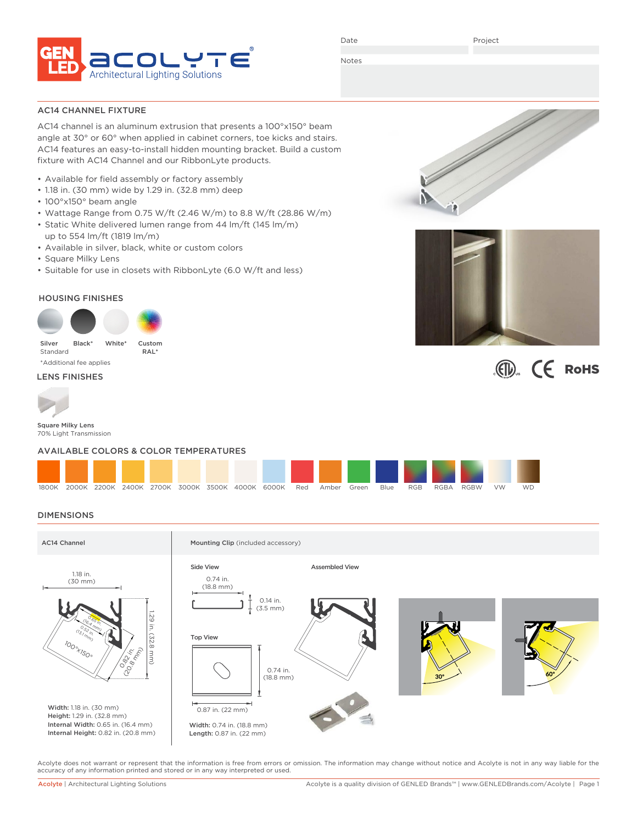

Date

Project

 $\mathbb{C}$   $\mathbb{C}$  RoHS

Notes

AC14 CHANNEL FIXTURE

AC14 channel is an aluminum extrusion that presents a 100°x150° beam angle at 30° or 60° when applied in cabinet corners, toe kicks and stairs. AC14 features an easy-to-install hidden mounting bracket. Build a custom fixture with AC14 Channel and our RibbonLyte products.

- Available for field assembly or factory assembly
- 1.18 in. (30 mm) wide by 1.29 in. (32.8 mm) deep
- 100°x150° beam angle
- Wattage Range from 0.75 W/ft (2.46 W/m) to 8.8 W/ft (28.86 W/m)
- Static White delivered lumen range from 44 lm/ft (145 lm/m) up to 554 lm/ft (1819 lm/m)
- Available in silver, black, white or custom colors
- Square Milky Lens
- Suitable for use in closets with RibbonLyte (6.0 W/ft and less)

# HOUSING FINISHES



\*Additional fee applies

LENS FINISHES



Square Milky Lens 70% Light Transmission

## AVAILABLE COLORS & COLOR TEMPERATURES

| 1800K |  |  |  | 2000K 2200K 2400K 2700K 3000K 3500K 4000K 6000K | Red | Amber | Green | Blue | <b>RGB</b> | RGBA | RGBW | <b>VW</b> | <b>WD</b> |  |
|-------|--|--|--|-------------------------------------------------|-----|-------|-------|------|------------|------|------|-----------|-----------|--|

## DIMENSIONS



Acolyte does not warrant or represent that the information is free from errors or omission. The information may change without notice and Acolyte is not in any way liable for the accuracy of any information printed and stored or in any way interpreted or used.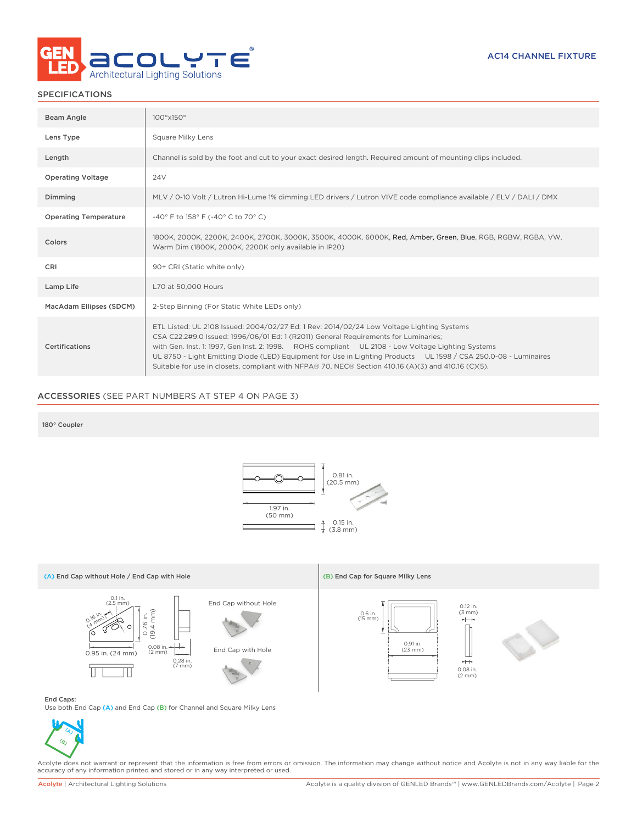

## SPECIFICATIONS

| Beam Angle                   | 100°x150°                                                                                                                                                                                                                                                                                                                                                                                                                                                                                                       |
|------------------------------|-----------------------------------------------------------------------------------------------------------------------------------------------------------------------------------------------------------------------------------------------------------------------------------------------------------------------------------------------------------------------------------------------------------------------------------------------------------------------------------------------------------------|
| Lens Type                    | Square Milky Lens                                                                                                                                                                                                                                                                                                                                                                                                                                                                                               |
| Length                       | Channel is sold by the foot and cut to your exact desired length. Required amount of mounting clips included.                                                                                                                                                                                                                                                                                                                                                                                                   |
| <b>Operating Voltage</b>     | 24V                                                                                                                                                                                                                                                                                                                                                                                                                                                                                                             |
| Dimming                      | MLV / 0-10 Volt / Lutron Hi-Lume 1% dimming LED drivers / Lutron VIVE code compliance available / ELV / DALI / DMX                                                                                                                                                                                                                                                                                                                                                                                              |
| <b>Operating Temperature</b> | -40° F to 158° F (-40° C to 70° C)                                                                                                                                                                                                                                                                                                                                                                                                                                                                              |
| Colors                       | 1800K, 2000K, 2200K, 2400K, 2700K, 3000K, 3500K, 4000K, 6000K, Red, Amber, Green, Blue, RGB, RGBW, RGBA, VW,<br>Warm Dim (1800K, 2000K, 2200K only available in IP20)                                                                                                                                                                                                                                                                                                                                           |
| CRI                          | 90+ CRI (Static white only)                                                                                                                                                                                                                                                                                                                                                                                                                                                                                     |
| Lamp Life                    | L70 at 50,000 Hours                                                                                                                                                                                                                                                                                                                                                                                                                                                                                             |
| MacAdam Ellipses (SDCM)      | 2-Step Binning (For Static White LEDs only)                                                                                                                                                                                                                                                                                                                                                                                                                                                                     |
| Certifications               | ETL Listed: UL 2108 Issued: 2004/02/27 Ed: 1 Rev: 2014/02/24 Low Voltage Lighting Systems<br>CSA C22.2#9.0 Issued: 1996/06/01 Ed: 1 (R2011) General Requirements for Luminaries;<br>with Gen. Inst. 1: 1997, Gen Inst. 2: 1998. ROHS compliant UL 2108 - Low Voltage Lighting Systems<br>UL 8750 - Light Emitting Diode (LED) Equipment for Use in Lighting Products UL 1598 / CSA 250.0-08 - Luminaires<br>Suitable for use in closets, compliant with NFPA® 70, NEC® Section 410.16 (A)(3) and 410.16 (C)(5). |

# ACCESSORIES (SEE PART NUMBERS AT STEP 4 ON PAGE 3)

### 180° Coupler



## Use both End Cap (A) and End Cap (B) for Channel and Square Milky Lens



Acolyte does not warrant or represent that the information is free from errors or omission. The information may change without notice and Acolyte is not in any way liable for the<br>accuracy of any information printed and sto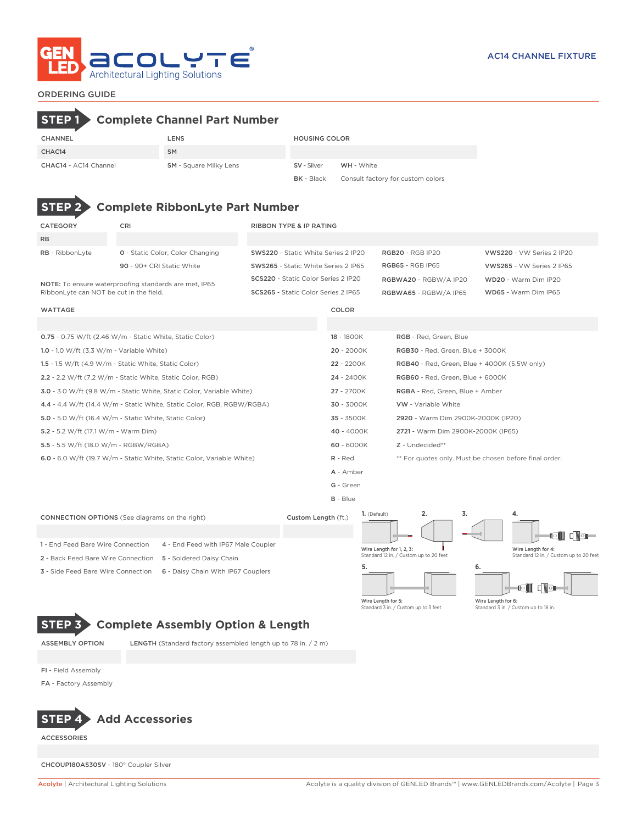

## ORDERING GUIDE  $\mathbf{k}$

| <b>STEP 1 &gt; Complete Channel Part Number</b> |                                               |                      |                                   |
|-------------------------------------------------|-----------------------------------------------|----------------------|-----------------------------------|
| <b>CHANNEL</b>                                  | LENS                                          | <b>HOUSING COLOR</b> |                                   |
| CHAC14                                          | <b>SM</b>                                     |                      |                                   |
| CHAC14 - AC14 Channel                           | <b>SM</b> - Square Milky Lens                 | SV - Silver          | WH - White                        |
|                                                 |                                               | <b>BK</b> - Black    | Consult factory for custom colors |
|                                                 | <b>STEP 2 Complete RibbonLyte Part Number</b> |                      |                                   |

| <b>CATEGORY</b>                             | CRI                                                                    | <b>RIBBON TYPE &amp; IP RATING</b>  |            |                                              |                                                        |                                        |  |  |  |  |
|---------------------------------------------|------------------------------------------------------------------------|-------------------------------------|------------|----------------------------------------------|--------------------------------------------------------|----------------------------------------|--|--|--|--|
| <b>RB</b>                                   |                                                                        |                                     |            |                                              |                                                        |                                        |  |  |  |  |
| RB - RibbonLyte                             | 0 - Static Color, Color Changing                                       | SWS220 - Static White Series 2 IP20 |            | <b>RGB20 - RGB IP20</b>                      |                                                        | VWS220 - VW Series 2 IP20              |  |  |  |  |
|                                             | 90 - 90+ CRI Static White                                              | SWS265 - Static White Series 2 IP65 |            | <b>RGB65 - RGB IP65</b>                      |                                                        | VWS265 - VW Series 2 IP65              |  |  |  |  |
|                                             | NOTE: To ensure waterproofing standards are met, IP65                  | SCS220 - Static Color Series 2 IP20 |            | RGBWA20 - RGBW/A IP20                        |                                                        | WD20 - Warm Dim IP20                   |  |  |  |  |
| RibbonLyte can NOT be cut in the field.     |                                                                        | SCS265 - Static Color Series 2 IP65 |            | RGBWA65 - RGBW/A IP65                        |                                                        | WD65 - Warm Dim IP65                   |  |  |  |  |
| <b>WATTAGE</b>                              |                                                                        |                                     | COLOR      |                                              |                                                        |                                        |  |  |  |  |
|                                             |                                                                        |                                     |            |                                              |                                                        |                                        |  |  |  |  |
|                                             | 0.75 - 0.75 W/ft (2.46 W/m - Static White, Static Color)               |                                     | 18 - 1800K | RGB - Red, Green, Blue                       |                                                        |                                        |  |  |  |  |
| 1.0 - 1.0 W/ft $(3.3 W/m - Variable White)$ |                                                                        |                                     | 20 - 2000K | RGB30 - Red, Green, Blue + 3000K             |                                                        |                                        |  |  |  |  |
|                                             | 1.5 - 1.5 W/ft (4.9 W/m - Static White, Static Color)                  |                                     | 22 - 2200K | RGB40 - Red, Green, Blue + 4000K (5.5W only) |                                                        |                                        |  |  |  |  |
|                                             | 2.2 - 2.2 W/ft (7.2 W/m - Static White, Static Color, RGB)             |                                     | 24 - 2400K | RGB60 - Red, Green, Blue + 6000K             |                                                        |                                        |  |  |  |  |
|                                             | 3.0 - 3.0 W/ft (9.8 W/m - Static White, Static Color, Variable White)  |                                     | 27 - 2700K | RGBA - Red, Green, Blue + Amber              |                                                        |                                        |  |  |  |  |
|                                             | 4.4 - 4.4 W/ft (14.4 W/m - Static White, Static Color, RGB, RGBW/RGBA) |                                     | 30 - 3000K | VW - Variable White                          |                                                        |                                        |  |  |  |  |
|                                             | 5.0 - 5.0 W/ft (16.4 W/m - Static White, Static Color)                 |                                     | 35 - 3500K | 2920 - Warm Dim 2900K-2000K (IP20)           |                                                        |                                        |  |  |  |  |
| 5.2 - 5.2 W/ft (17.1 W/m - Warm Dim)        |                                                                        |                                     | 40 - 4000K |                                              | 2721 - Warm Dim 2900K-2000K (IP65)                     |                                        |  |  |  |  |
| 5.5 - 5.5 W/ft (18.0 W/m - RGBW/RGBA)       |                                                                        |                                     | 60 - 6000K | $Z$ - Undecided**                            |                                                        |                                        |  |  |  |  |
|                                             | 6.0 - 6.0 W/ft (19.7 W/m - Static White, Static Color, Variable White) |                                     | $R - Red$  |                                              | ** For quotes only. Must be chosen before final order. |                                        |  |  |  |  |
|                                             |                                                                        |                                     | A - Amber  |                                              |                                                        |                                        |  |  |  |  |
|                                             |                                                                        |                                     | G - Green  |                                              |                                                        |                                        |  |  |  |  |
|                                             |                                                                        |                                     | $B - Blue$ |                                              |                                                        |                                        |  |  |  |  |
|                                             | <b>CONNECTION OPTIONS</b> (See diagrams on the right)                  | Custom Length (ft.)                 |            | 2.<br>1. (Default)                           | 3.                                                     | 4.                                     |  |  |  |  |
|                                             |                                                                        |                                     |            |                                              |                                                        | 61 d Vəl                               |  |  |  |  |
| 1 - End Feed Bare Wire Connection           | 4 - End Feed with IP67 Male Coupler                                    |                                     |            | Wire Length for 1, 2, 3:                     |                                                        | Wire Length for 4:                     |  |  |  |  |
| 2 - Back Feed Bare Wire Connection          | 5 - Soldered Daisy Chain                                               |                                     |            | Standard 12 in. / Custom up to 20 feet       |                                                        | Standard 12 in. / Custom up to 20 feet |  |  |  |  |
| 3 - Side Feed Bare Wire Connection          | 6 - Daisy Chain With IP67 Couplers                                     |                                     | 5.         |                                              | 6.                                                     | gii dib                                |  |  |  |  |
|                                             |                                                                        |                                     |            |                                              |                                                        |                                        |  |  |  |  |



ASSEMBLY OPTION LENGTH (Standard factory assembled length up to 78 in. / 2 m)

FI - Field Assembly

FA - Factory Assembly



ACCESSORIES

CHCOUP180AS30SV - 180° Coupler Silver

Wire Length for 6: Standard 3 in. / Custom up to 18 in.

Wire Length for 5: Standard 3 in. / Custom up to 3 feet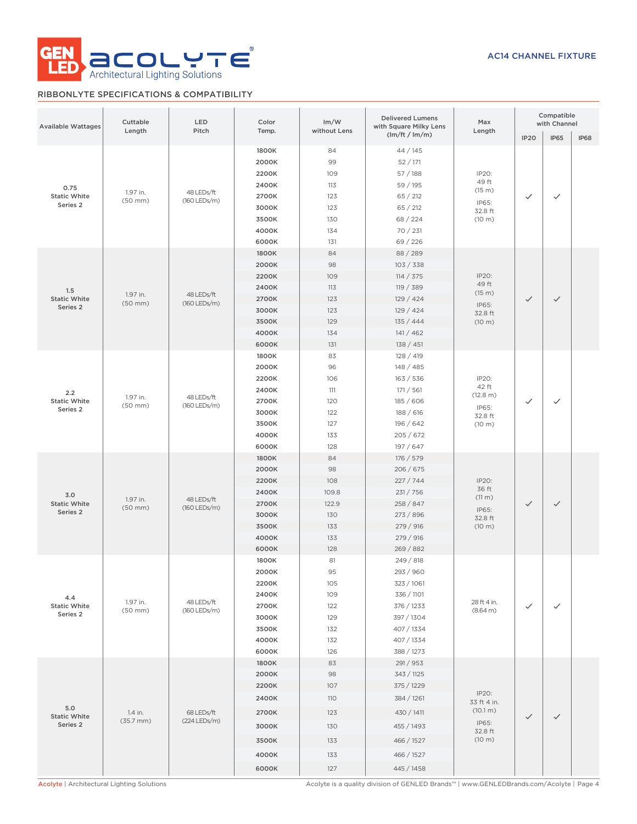

# RIBBONLYTE SPECIFICATIONS & COMPATIBILITY

| <b>Available Wattages</b>               | Cuttable<br>Length               | LED<br>Pitch               | Color<br>Temp.                                                                | Im/W<br>without Lens                                          | <b>Delivered Lumens</b><br>with Square Milky Lens                                                                         | Max<br>Length                                                  | Compatible<br>with Channel |              |             |
|-----------------------------------------|----------------------------------|----------------------------|-------------------------------------------------------------------------------|---------------------------------------------------------------|---------------------------------------------------------------------------------------------------------------------------|----------------------------------------------------------------|----------------------------|--------------|-------------|
|                                         |                                  |                            |                                                                               |                                                               | (lm/ft / lm/m)                                                                                                            |                                                                | <b>IP20</b>                | <b>IP65</b>  | <b>IP68</b> |
| 0.75<br><b>Static White</b><br>Series 2 | 1.97 in.<br>$(50$ mm $)$         | 48 LEDs/ft<br>(160 LEDs/m) | 1800K<br>2000K<br>2200K<br>2400K<br>2700K<br>3000K<br>3500K<br>4000K<br>6000K | 84<br>99<br>109<br>113<br>123<br>123<br>130<br>134<br>131     | 44/145<br>52/171<br>57 / 188<br>59 / 195<br>65 / 212<br>65 / 212<br>68 / 224<br>70 / 231<br>69 / 226                      | IP20:<br>49 ft<br>(15 m)<br>IP65:<br>32.8 ft<br>(10 m)         | ✓                          | $\checkmark$ |             |
| 1.5<br><b>Static White</b><br>Series 2  | 1.97 in.<br>$(50$ mm $)$         | 48 LEDs/ft<br>(160 LEDs/m) | 1800K<br>2000K<br>2200K<br>2400K<br>2700K<br>3000K<br>3500K<br>4000K<br>6000K | 84<br>98<br>109<br>113<br>123<br>123<br>129<br>134<br>131     | 88 / 289<br>103 / 338<br>114 / 375<br>119 / 389<br>129 / 424<br>129 / 424<br>135 / 444<br>141 / 462<br>138 / 451          | IP20:<br>49 ft<br>(15 m)<br>IP65:<br>32.8 ft<br>(10 m)         | $\checkmark$               | $\checkmark$ |             |
| 2.2<br><b>Static White</b><br>Series 2  | 1.97 in.<br>$(50$ mm $)$         | 48 LEDs/ft<br>(160 LEDs/m) | 1800K<br>2000K<br>2200K<br>2400K<br>2700K<br>3000K<br>3500K<br>4000K<br>6000K | 83<br>96<br>106<br>111<br>120<br>122<br>127<br>133<br>128     | 128 / 419<br>148 / 485<br>163 / 536<br>171 / 561<br>185 / 606<br>188 / 616<br>196 / 642<br>205 / 672<br>197 / 647         | IP20:<br>42 ft<br>(12.8 m)<br>IP65:<br>32.8 ft<br>(10 m)       | $\checkmark$               | ✓            |             |
| 3.0<br><b>Static White</b><br>Series 2  | 1.97 in.<br>$(50$ mm $)$         | 48 LEDs/ft<br>(160 LEDs/m) | 1800K<br>2000K<br>2200K<br>2400K<br>2700K<br>3000K<br>3500K<br>4000K<br>6000K | 84<br>98<br>108<br>109.8<br>122.9<br>130<br>133<br>133<br>128 | 176 / 579<br>206 / 675<br>227 / 744<br>231 / 756<br>258 / 847<br>273 / 896<br>279 / 916<br>279 / 916<br>269 / 882         | IP20:<br>36 ft<br>(11 m)<br>IP65:<br>32.8 ft<br>(10 m)         | $\checkmark$               | $\checkmark$ |             |
| 4.4<br><b>Static White</b><br>Series 2  | 1.97 in.<br>$(50$ mm $)$         | 48 LEDs/ft<br>(160 LEDs/m) | 1800K<br>2000K<br>2200K<br>2400K<br>2700K<br>3000K<br>3500K<br>4000K<br>6000K | 81<br>95<br>105<br>109<br>122<br>129<br>132<br>132<br>126     | 249 / 818<br>293 / 960<br>323 / 1061<br>336 / 1101<br>376 / 1233<br>397 / 1304<br>407 / 1334<br>407 / 1334<br>388 / 1273  | 28 ft 4 in.<br>(8.64 m)                                        | $\checkmark$               | ✓            |             |
| 5.0<br><b>Static White</b><br>Series 2  | 1.4 in.<br>$(35.7 \, \text{mm})$ | 68 LEDs/ft<br>(224 LEDs/m) | 1800K<br>2000K<br>2200K<br>2400K<br>2700K<br>3000K<br>3500K<br>4000K<br>6000K | 83<br>98<br>107<br>110<br>123<br>130<br>133<br>133<br>127     | 291 / 953<br>343 / 1125<br>375 / 1229<br>384 / 1261<br>430 / 1411<br>455 / 1493<br>466 / 1527<br>466 / 1527<br>445 / 1458 | IP20:<br>33 ft 4 in.<br>(10.1 m)<br>IP65:<br>32.8 ft<br>(10 m) | $\checkmark$               | $\checkmark$ |             |

Acolyte | Architectural Lighting Solutions **Acolyte is a quality division of GENLED Brands™** | www.GENLEDBrands.com/Acolyte | Page 4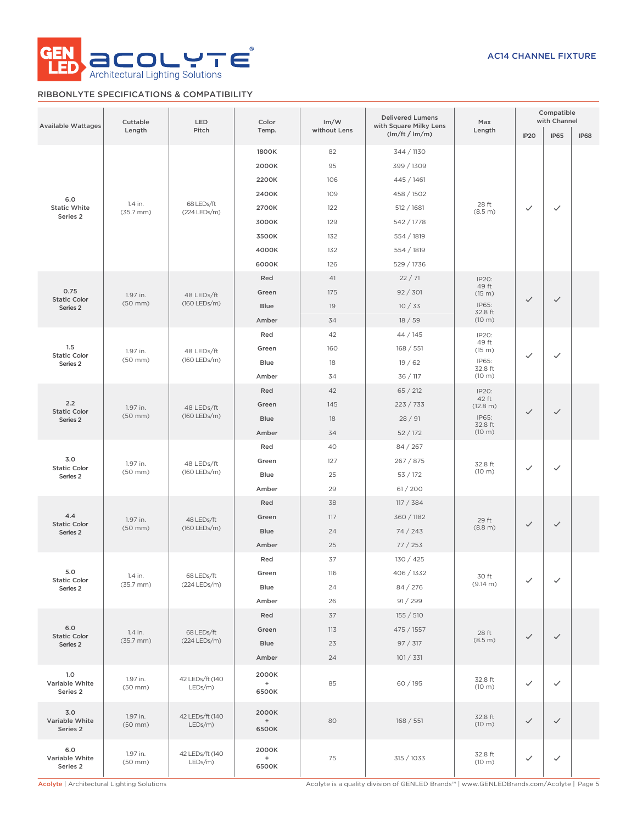

# RIBBONLYTE SPECIFICATIONS & COMPATIBILITY

| <b>Available Wattages</b>         | Cuttable<br>Length               | LED<br>Pitch                  | Color<br>Temp.        | Im/W<br>without Lens | <b>Delivered Lumens</b><br>with Square Milky Lens<br>(lm/ft / lm/m) | Max<br>Length     | IP <sub>20</sub> | Compatible<br>with Channel<br><b>IP65</b> | <b>IP68</b> |
|-----------------------------------|----------------------------------|-------------------------------|-----------------------|----------------------|---------------------------------------------------------------------|-------------------|------------------|-------------------------------------------|-------------|
|                                   |                                  |                               | 1800K<br>2000K        | 82<br>95             | 344 / 1130<br>399 / 1309                                            |                   |                  |                                           |             |
|                                   |                                  |                               | 2200K                 | 106                  | 445 / 1461                                                          |                   |                  |                                           |             |
| 6.0                               |                                  |                               | 2400K                 | 109                  | 458 / 1502                                                          |                   |                  |                                           |             |
| <b>Static White</b>               | 1.4 in.<br>$(35.7 \, \text{mm})$ | 68 LEDs/ft<br>(224 LEDs/m)    | 2700K                 | 122                  | 512 / 1681                                                          | 28 ft<br>(8.5 m)  | $\checkmark$     | $\checkmark$                              |             |
| Series 2                          |                                  |                               | 3000K                 | 129                  | 542 / 1778                                                          |                   |                  |                                           |             |
|                                   |                                  |                               | 3500K                 | 132                  | 554 / 1819                                                          |                   |                  |                                           |             |
|                                   |                                  |                               | 4000K                 | 132                  | 554 / 1819                                                          |                   |                  |                                           |             |
|                                   |                                  |                               | 6000K                 | 126                  | 529 / 1736                                                          |                   |                  |                                           |             |
|                                   |                                  |                               | Red                   | 41                   | 22/71                                                               | IP20:             |                  |                                           |             |
| 0.75<br><b>Static Color</b>       | 1.97 in.                         | 48 LEDs/ft                    | Green                 | 175                  | 92 / 301                                                            | 49 ft<br>(15 m)   | $\checkmark$     | $\checkmark$                              |             |
| Series 2                          | $(50$ mm $)$                     | (160 LEDs/m)                  | Blue                  | 19                   | 10/33                                                               | IP65:<br>32.8 ft  |                  |                                           |             |
|                                   |                                  |                               | Amber                 | 34                   | 18/59                                                               | (10 m)            |                  |                                           |             |
|                                   |                                  |                               | Red                   | 42                   | 44 / 145                                                            | IP20:             |                  |                                           |             |
| 1.5<br><b>Static Color</b>        | 1.97 in.                         | 48 LEDs/ft                    | Green                 | 160                  | 168 / 551                                                           | 49 ft<br>(15 m)   | $\checkmark$     | $\checkmark$                              |             |
| Series 2                          | $(50$ mm $)$                     | (160 LEDs/m)                  | Blue                  | 18                   | 19/62                                                               | IP65:<br>32.8 ft  |                  |                                           |             |
|                                   |                                  |                               | Amber                 | 34                   | 36 / 117                                                            | (10 m)            |                  |                                           |             |
|                                   |                                  |                               | Red                   | 42                   | 65 / 212                                                            | IP20:             |                  |                                           |             |
| 2.2<br><b>Static Color</b>        | 1.97 in.                         | 48 LEDs/ft                    | Green                 | 145                  | 223 / 733                                                           | 42 ft<br>(12.8 m) | $\checkmark$     | $\checkmark$                              |             |
| Series <sub>2</sub>               | $(50$ mm $)$                     | (160 LEDs/m)                  | Blue                  | 18                   | 28/91                                                               | IP65:<br>32.8 ft  |                  |                                           |             |
|                                   |                                  |                               | Amber                 | 34                   | 52/172                                                              | (10 m)            |                  |                                           |             |
|                                   |                                  |                               | Red                   | 40                   | 84 / 267                                                            |                   |                  |                                           |             |
| 3.0<br><b>Static Color</b>        | 1.97 in.                         | 48 LEDs/ft<br>(160 LEDs/m)    | Green                 | 127                  | 267 / 875                                                           | 32.8 ft           | $\checkmark$     | $\checkmark$                              |             |
| Series 2                          | $(50$ mm $)$                     |                               | Blue                  | 25                   | 53 / 172                                                            | (10 m)            |                  |                                           |             |
|                                   |                                  |                               | Amber                 | 29                   | 61/200                                                              |                   |                  |                                           |             |
|                                   |                                  |                               | Red                   | 38                   | 117 / 384                                                           |                   |                  |                                           |             |
| 4.4<br><b>Static Color</b>        | 1.97 in.                         | 48 LEDs/ft<br>(160 LEDs/m)    | Green                 | 117                  | 360 / 1182                                                          | 29 ft             | $\checkmark$     | $\checkmark$                              |             |
| Series 2                          | $(50$ mm $)$                     |                               | Blue                  | 24                   | 74 / 243                                                            | (8.8 m)           |                  |                                           |             |
|                                   |                                  |                               | Amber                 | 25                   | 77/253                                                              |                   |                  |                                           |             |
|                                   |                                  | 68 LEDs/ft<br>(224 LEDs/m)    | Red                   | 37                   | 130 / 425                                                           |                   |                  |                                           |             |
| 5.0<br><b>Static Color</b>        | 1.4 in.                          |                               | Green                 | 116                  | 406 / 1332                                                          | 30 ft             | $\checkmark$     | $\checkmark$                              |             |
| Series 2                          | $(35.7 \, \text{mm})$            |                               | Blue                  | 24                   | 84 / 276                                                            | (9.14 m)          |                  |                                           |             |
|                                   |                                  |                               | Amber                 | 26                   | 91 / 299                                                            |                   |                  |                                           |             |
|                                   |                                  |                               | Red                   | 37                   | 155 / 510                                                           |                   |                  |                                           |             |
| 6.0<br><b>Static Color</b>        | 1.4 in.                          | 68 LEDs/ft                    | Green                 | 113                  | 475 / 1557                                                          | 28 ft             | $\checkmark$     | $\checkmark$                              |             |
| Series 2                          | $(35.7 \, \text{mm})$            | (224 LEDs/m)                  | Blue                  | 23                   | 97 / 317                                                            | (8.5 m)           |                  |                                           |             |
|                                   |                                  |                               | Amber                 | 24                   | 101 / 331                                                           |                   |                  |                                           |             |
| 1.0<br>Variable White<br>Series 2 | 1.97 in.<br>$(50$ mm $)$         | 42 LEDs/ft (140<br>$LEDs/m$ ) | 2000K<br>$+$<br>6500K | 85                   | 60 / 195                                                            | 32.8 ft<br>(10 m) | $\checkmark$     | $\checkmark$                              |             |
| 3.0<br>Variable White<br>Series 2 | 1.97 in.<br>$(50$ mm $)$         | 42 LEDs/ft (140<br>$LEDs/m$ ) | 2000K<br>$+$<br>6500K | 80                   | 168 / 551                                                           | 32.8 ft<br>(10 m) | $\checkmark$     | $\checkmark$                              |             |
| 6.0<br>Variable White<br>Series 2 | 1.97 in.<br>$(50$ mm $)$         | 42 LEDs/ft (140<br>LEDs/m)    | 2000K<br>$+$<br>6500K | 75                   | 315 / 1033                                                          | 32.8 ft<br>(10 m) | $\checkmark$     | $\checkmark$                              |             |

Acolyte | Architectural Lighting Solutions **Acolyte is a quality division of GENLED Brands™** | www.GENLEDBrands.com/Acolyte | Page 5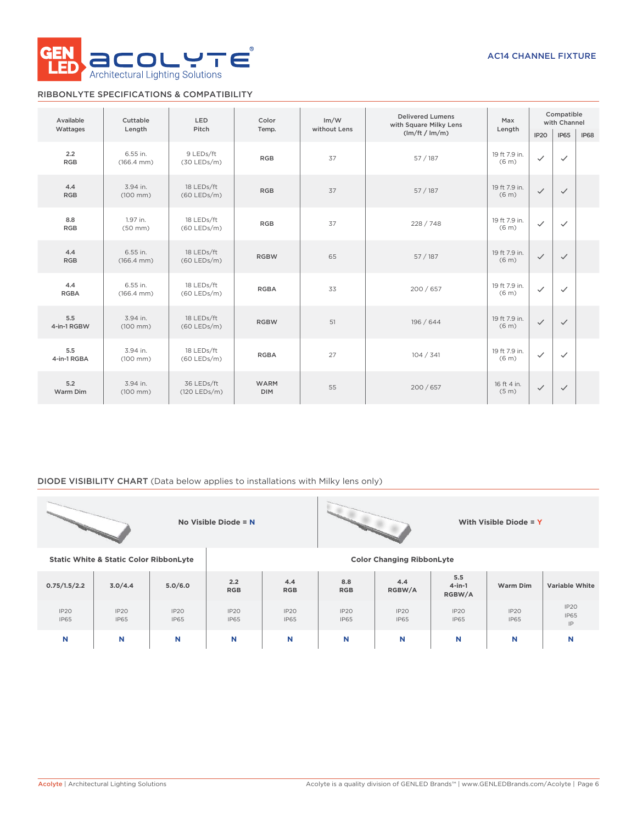

# RIBBONLYTE SPECIFICATIONS & COMPATIBILITY

| Available          | Cuttable                           | LED                         | Color                     | Im/W         | <b>Delivered Lumens</b><br>with Square Milky Lens | Max                                | Compatible<br>with Channel |              |             |
|--------------------|------------------------------------|-----------------------------|---------------------------|--------------|---------------------------------------------------|------------------------------------|----------------------------|--------------|-------------|
| Wattages           | Length                             | Pitch                       | Temp.                     | without Lens | (lm/ft / lm/m)                                    | Length                             | IP <sub>20</sub>           | <b>IP65</b>  | <b>IP68</b> |
| 2.2<br><b>RGB</b>  | 6.55 in.<br>$(166.4 \, \text{mm})$ | 9 LEDs/ft<br>$(30$ LEDs/m)  | <b>RGB</b>                | 37           | 57 / 187                                          | 19 ft 7.9 in.<br>(6 <sub>m</sub> ) | $\checkmark$               | $\checkmark$ |             |
| 4.4<br><b>RGB</b>  | 3.94 in.<br>$(100 \, \text{mm})$   | 18 LEDs/ft<br>$(60$ LEDs/m) | <b>RGB</b>                | 37           | 57/187                                            | 19 ft 7.9 in.<br>(6 <sub>m</sub> ) | $\checkmark$               | $\checkmark$ |             |
| 8.8<br><b>RGB</b>  | 1.97 in.<br>$(50$ mm $)$           | 18 LEDs/ft<br>$(60$ LEDs/m) | <b>RGB</b>                | 37           | 228 / 748                                         | 19 ft 7.9 in.<br>(6 <sub>m</sub> ) | $\checkmark$               | $\checkmark$ |             |
| 4.4<br><b>RGB</b>  | 6.55 in.<br>$(166.4 \, \text{mm})$ | 18 LEDs/ft<br>$(60$ LEDs/m) | <b>RGBW</b>               | 65           | 57/187                                            | 19 ft 7.9 in.<br>(6 <sub>m</sub> ) | $\checkmark$               | $\checkmark$ |             |
| 4.4<br><b>RGBA</b> | 6.55 in.<br>$(166.4 \, \text{mm})$ | 18 LEDs/ft<br>$(60$ LEDs/m) | <b>RGBA</b>               | 33           | 200/657                                           | 19 ft 7.9 in.<br>(6 <sub>m</sub> ) | $\checkmark$               | $\checkmark$ |             |
| 5.5<br>4-in-1 RGBW | 3.94 in.<br>$(100 \, \text{mm})$   | 18 LEDs/ft<br>$(60$ LEDs/m) | <b>RGBW</b>               | 51           | 196 / 644                                         | 19 ft 7.9 in.<br>(6 <sub>m</sub> ) | $\checkmark$               | $\checkmark$ |             |
| 5.5<br>4-in-1 RGBA | 3.94 in.<br>$(100 \, \text{mm})$   | 18 LEDs/ft<br>$(60$ LEDs/m) | <b>RGBA</b>               | 27           | 104 / 341                                         | 19 ft 7.9 in.<br>(6 <sub>m</sub> ) | $\checkmark$               | $\checkmark$ |             |
| 5.2<br>Warm Dim    | 3.94 in.<br>$(100 \, \text{mm})$   | 36 LEDs/ft<br>(120 LEDs/m)  | <b>WARM</b><br><b>DIM</b> | 55           | 200/657                                           | 16 ft 4 in.<br>(5 <sub>m</sub> )   | $\checkmark$               | $\checkmark$ |             |

# DIODE VISIBILITY CHART (Data below applies to installations with Milky lens only)

|                     |                                                   |                     | No Visible Diode = $N$           |                     |                     |                     |                            | With Visible Diode = Y |                                      |  |  |  |
|---------------------|---------------------------------------------------|---------------------|----------------------------------|---------------------|---------------------|---------------------|----------------------------|------------------------|--------------------------------------|--|--|--|
|                     | <b>Static White &amp; Static Color RibbonLyte</b> |                     | <b>Color Changing RibbonLyte</b> |                     |                     |                     |                            |                        |                                      |  |  |  |
| 0.75/1.5/2.2        | 3.0/4.4                                           | 5.0/6.0             | 2.2<br><b>RGB</b>                | 4.4<br><b>RGB</b>   | 8.8<br><b>RGB</b>   | 4.4<br>RGBW/A       | 5.5<br>$4$ -in-1<br>RGBW/A | Warm Dim               | <b>Variable White</b>                |  |  |  |
| IP20<br><b>IP65</b> | IP20<br><b>IP65</b>                               | IP20<br><b>IP65</b> | IP20<br><b>IP65</b>              | IP20<br><b>IP65</b> | IP20<br><b>IP65</b> | IP20<br><b>IP65</b> | IP20<br><b>IP65</b>        | IP20<br><b>IP65</b>    | IP2O<br><b>IP65</b><br>$\mathsf{IP}$ |  |  |  |
| N                   | N                                                 | N                   | N                                | N                   | N                   | N                   | N                          | N                      | N                                    |  |  |  |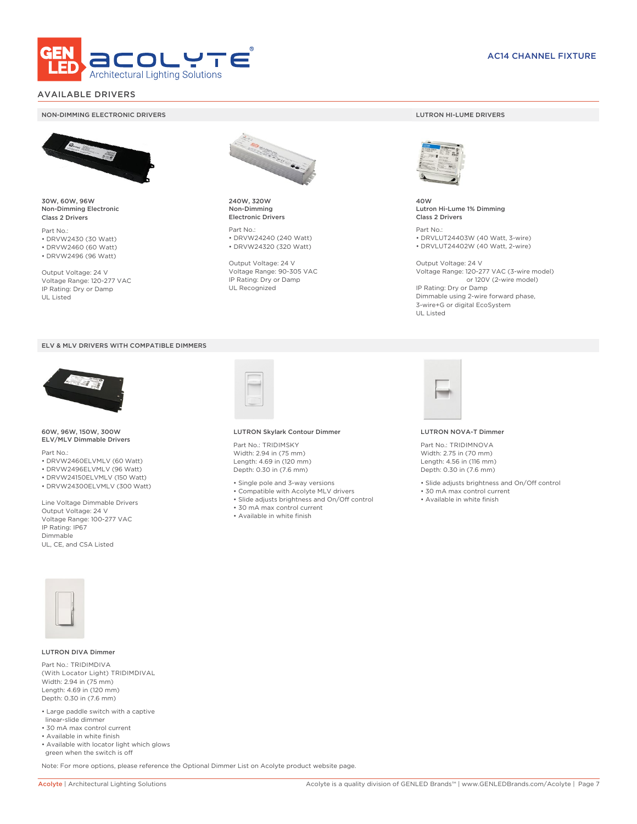

# AVAILABLE DRIVERS

## NON-DIMMING ELECTRONIC DRIVERS LUTRON HI-LUME DRIVERS

30W, 60W, 96W Non-Dimming Electronic Class 2 Drivers

Part No.: • DRVW2430 (30 Watt) • DRVW2460 (60 Watt) • DRVW2496 (96 Watt)

Output Voltage: 24 V Voltage Range: 120-277 VAC IP Rating: Dry or Damp UL Listed





### 60W, 96W, 150W, 300W ELV/MLV Dimmable Drivers

Part No.:

- DRVW2460ELVMLV (60 Watt)
- DRVW2496ELVMLV (96 Watt)
- DRVW24150ELVMLV (150 Watt) • DRVW24300ELVMLV (300 Watt)

Line Voltage Dimmable Drivers Output Voltage: 24 V Voltage Range: 100-277 VAC IP Rating: IP67 Dimmable UL, CE, and CSA Listed



240W, 320W Non-Dimming Electronic Drivers

Part No.: • DRVW24240 (240 Watt) • DRVW24320 (320 Watt)

Output Voltage: 24 V Voltage Range: 90-305 VAC IP Rating: Dry or Damp UL Recognized

LUTRON Skylark Contour Dimmer

• 30 mA max control current • Available in white finish

Part No.: TRIDIMSKY Width: 2.94 in (75 mm) Length: 4.69 in (120 mm) Depth: 0.30 in (7.6 mm) • Single pole and 3-way versions • Compatible with Acolyte MLV drivers • Slide adjusts brightness and On/Off control



40W Lutron Hi-Lume 1% Dimming Class 2 Drivers

Part No.: • DRVLUT24403W (40 Watt, 3-wire) • DRVLUT24402W (40 Watt, 2-wire)

Output Voltage: 24 V Voltage Range: 120-277 VAC (3-wire model) or 120V (2-wire model) IP Rating: Dry or Damp Dimmable using 2-wire forward phase, 3-wire+G or digital EcoSystem UL Listed



#### LUTRON NOVA-T Dimmer

Part No.: TRIDIMNOVA Width: 2.75 in (70 mm) Length: 4.56 in (116 mm) Depth: 0.30 in (7.6 mm)

• Slide adjusts brightness and On/Off control

- 30 mA max control current
- Available in white finish



### LUTRON DIVA Dimmer

Part No.: TRIDIMDIVA (With Locator Light) TRIDIMDIVAL Width: 2.94 in (75 mm) Length: 4.69 in (120 mm) Depth: 0.30 in (7.6 mm)

- Large paddle switch with a captive linear-slide dimmer
- 30 mA max control current
- Available in white finish
- Available with locator light which glows green when the switch is off

Note: For more options, please reference the Optional Dimmer List on Acolyte product website page.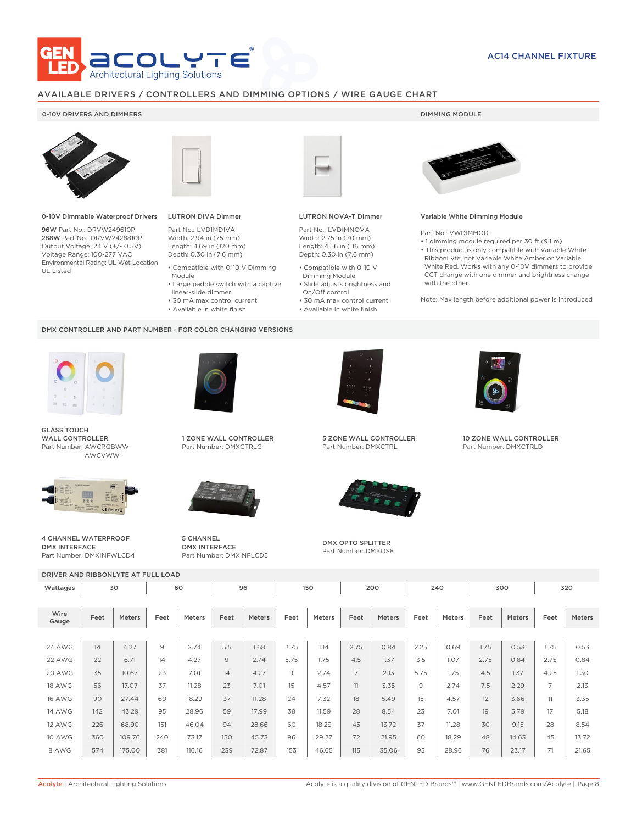

## AVAILABLE DRIVERS / CONTROLLERS AND DIMMING OPTIONS / WIRE GAUGE CHART

## 0-10V DRIVERS AND DIMMERS **DIMMING MODULE**



0-10V Dimmable Waterproof Drivers

96W Part No.: DRVW249610P 288W Part No.: DRVW2428810P Output Voltage: 24 V (+/- 0.5V) Voltage Range: 100-277 VAC Environmental Rating: UL Wet Location UL Listed



# LUTRON DIVA Dimmer

Part No.: LVDIMDIVA Width: 2.94 in (75 mm) Length: 4.69 in (120 mm) Depth: 0.30 in (7.6 mm)

- Compatible with 0-10 V Dimming Module
- Large paddle switch with a captive
- linear-slide dimmer
- 30 mA max control current
- Available in white finish

### DMX CONTROLLER AND PART NUMBER - FOR COLOR CHANGING VERSIONS



GLASS TOUCH WALL CONTROLLER Part Number: AWCRGBWW AWCVWW



4 CHANNEL WATERPROOF DMX INTERFACE Part Number: DMXINFWLCD4



1 ZONE WALL CONTROLLER Part Number: DMXCTRLG



5 CHANNEL DMX INTERFACE Part Number: DMXINFLCD5



## LUTRON NOVA-T Dimmer

Part No.: LVDIMNOVA Width: 2.75 in (70 mm) Length: 4.56 in (116 mm) Depth: 0.30 in (7.6 mm)

- Compatible with 0-10 V Dimming Module
- Slide adjusts brightness and On/Off control
- 30 mA max control current • Available in white finish

## Variable White Dimming Module

Part No.: VWDIMMOD

• 1 dimming module required per 30 ft (9.1 m) • This product is only compatible with Variable White RibbonLyte, not Variable White Amber or Variable White Red. Works with any 0-10V dimmers to provide CCT change with one dimmer and brightness change with the other.

Note: Max length before additional power is introduced



5 ZONE WALL CONTROLLER Part Number: DMXCTRL



DMX OPTO SPLITTER Part Number: DMXOS8



10 ZONE WALL CONTROLLER Part Number: DMXCTRLD

| DRIVER AND RIBBONLYTE AT FULL LOAD |      |        |      |        |      |        |      |        |                |        |      |        |      |        |      |        |
|------------------------------------|------|--------|------|--------|------|--------|------|--------|----------------|--------|------|--------|------|--------|------|--------|
| Wattages                           | 30   |        | 60   |        | 96   |        | 150  |        | 200            |        | 240  |        | 300  |        | 320  |        |
| Wire<br>Gauge                      | Feet | Meters | Feet | Meters | Feet | Meters | Feet | Meters | Feet           | Meters | Feet | Meters | Feet | Meters | Feet | Meters |
|                                    |      |        |      |        |      |        |      |        |                |        |      |        |      |        |      |        |
| <b>24 AWG</b>                      | 14   | 4.27   | 9    | 2.74   | 5.5  | 1.68   | 3.75 | 1.14   | 2.75           | 0.84   | 2.25 | 0.69   | 1.75 | 0.53   | 1.75 | 0.53   |
| 22 AWG                             | 22   | 6.71   | 14   | 4.27   | 9    | 2.74   | 5.75 | 1.75   | 4.5            | 1.37   | 3.5  | 1.07   | 2.75 | 0.84   | 2.75 | 0.84   |
| 20 AWG                             | 35   | 10.67  | 23   | 7.01   | 14   | 4.27   | 9    | 2.74   | $\overline{7}$ | 2.13   | 5.75 | 1.75   | 4.5  | 1.37   | 4.25 | 1.30   |
| <b>18 AWG</b>                      | 56   | 17.07  | 37   | 11.28  | 23   | 7.01   | 15   | 4.57   | 11             | 3.35   | 9    | 2.74   | 7.5  | 2.29   | 7    | 2.13   |
| <b>16 AWG</b>                      | 90   | 27.44  | 60   | 18.29  | 37   | 11.28  | 24   | 7.32   | 18             | 5.49   | 15   | 4.57   | 12   | 3.66   | 11   | 3.35   |
| <b>14 AWG</b>                      | 142  | 43.29  | 95   | 28.96  | 59   | 17.99  | 38   | 11.59  | 28             | 8.54   | 23   | 7.01   | 19   | 5.79   | 17   | 5.18   |
| <b>12 AWG</b>                      | 226  | 68.90  | 151  | 46.04  | 94   | 28.66  | 60   | 18.29  | 45             | 13.72  | 37   | 11.28  | 30   | 9.15   | 28   | 8.54   |
| <b>10 AWG</b>                      | 360  | 109.76 | 240  | 73.17  | 150  | 45.73  | 96   | 29.27  | 72             | 21.95  | 60   | 18.29  | 48   | 14.63  | 45   | 13.72  |
| 8 AWG                              | 574  | 175.00 | 381  | 116.16 | 239  | 72.87  | 153  | 46.65  | 115            | 35.06  | 95   | 28.96  | 76   | 23.17  | 71   | 21.65  |